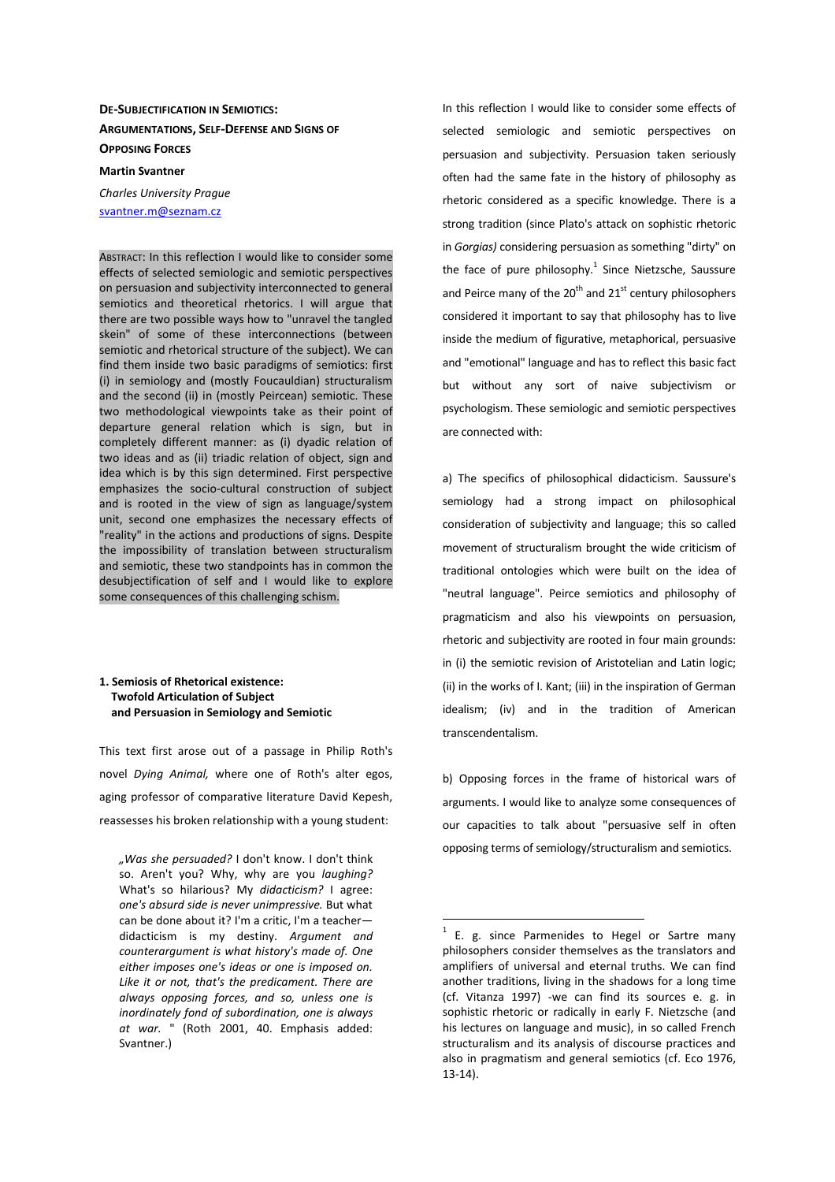## **DE-SUBJECTIFICATION IN SEMIOTICS: ARGUMENTATIONS, SELF-DEFENSE AND SIGNS OF OPPOSING FORCES**

#### **Martin Svantner**

*Charles University Prague* svantner.m@seznam.cz

ABSTRACT: In this reflection I would like to consider some effects of selected semiologic and semiotic perspectives on persuasion and subjectivity interconnected to general semiotics and theoretical rhetorics. I will argue that there are two possible ways how to "unravel the tangled skein" of some of these interconnections (between semiotic and rhetorical structure of the subject). We can find them inside two basic paradigms of semiotics: first (i) in semiology and (mostly Foucauldian) structuralism and the second (ii) in (mostly Peircean) semiotic. These two methodological viewpoints take as their point of departure general relation which is sign, but in completely different manner: as (i) dyadic relation of two ideas and as (ii) triadic relation of object, sign and idea which is by this sign determined. First perspective emphasizes the socio-cultural construction of subject and is rooted in the view of sign as language/system unit, second one emphasizes the necessary effects of "reality" in the actions and productions of signs. Despite the impossibility of translation between structuralism and semiotic, these two standpoints has in common the desubjectification of self and I would like to explore some consequences of this challenging schism.

## **1. Semiosis of Rhetorical existence: Twofold Articulation of Subject and Persuasion in Semiology and Semiotic**

This text first arose out of a passage in Philip Roth's novel *Dying Animal,* where one of Roth's alter egos, aging professor of comparative literature David Kepesh, reassesses his broken relationship with a young student:

*"Was she persuaded?* I don't know. I don't think so. Aren't you? Why, why are you *laughing?*  What's so hilarious? My *didacticism?* I agree: *one's absurd side is never unimpressive.* But what can be done about it? I'm a critic, I'm a teacher didacticism is my destiny. *Argument and counterargument is what history's made of. One either imposes one's ideas or one is imposed on. Like it or not, that's the predicament. There are always opposing forces, and so, unless one is inordinately fond of subordination, one is always at war.* " (Roth 2001, 40. Emphasis added: Svantner.)

In this reflection I would like to consider some effects of selected semiologic and semiotic perspectives on persuasion and subjectivity. Persuasion taken seriously often had the same fate in the history of philosophy as rhetoric considered as a specific knowledge. There is a strong tradition (since Plato's attack on sophistic rhetoric in *Gorgias)* considering persuasion as something "dirty" on the face of pure philosophy. $^1$  Since Nietzsche, Saussure and Peirce many of the  $20^{th}$  and  $21^{st}$  century philosophers considered it important to say that philosophy has to live inside the medium of figurative, metaphorical, persuasive and "emotional" language and has to reflect this basic fact but without any sort of naive subjectivism or psychologism. These semiologic and semiotic perspectives are connected with:

a) The specifics of philosophical didacticism. Saussure's semiology had a strong impact on philosophical consideration of subjectivity and language; this so called movement of structuralism brought the wide criticism of traditional ontologies which were built on the idea of "neutral language". Peirce semiotics and philosophy of pragmaticism and also his viewpoints on persuasion, rhetoric and subjectivity are rooted in four main grounds: in (i) the semiotic revision of Aristotelian and Latin logic; (ii) in the works of I. Kant; (iii) in the inspiration of German idealism; (iv) and in the tradition of American transcendentalism.

b) Opposing forces in the frame of historical wars of arguments. I would like to analyze some consequences of our capacities to talk about "persuasive self in often opposing terms of semiology/structuralism and semiotics.

end and the same of the same the same the same the same of the same the same the same the same of the same the same is a same that the same is a same that the same is a same that the same is a same the same is a same the s philosophers consider themselves as the translators and amplifiers of universal and eternal truths. We can find another traditions, living in the shadows for a long time (cf. Vitanza 1997) -we can find its sources e. g. in sophistic rhetoric or radically in early F. Nietzsche (and his lectures on language and music), in so called French structuralism and its analysis of discourse practices and also in pragmatism and general semiotics (cf. Eco 1976, 13-14).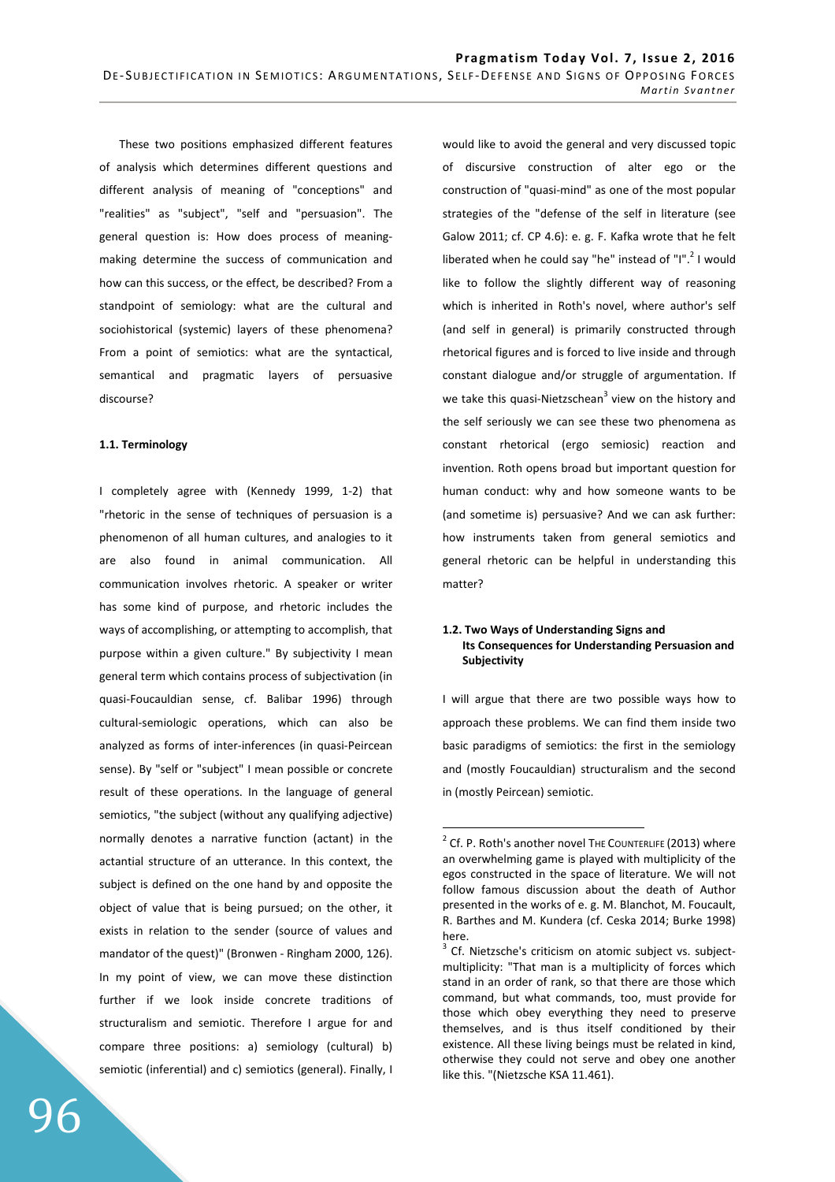These two positions emphasized different features of analysis which determines different questions and different analysis of meaning of "conceptions" and "realities" as "subject", "self and "persuasion". The general question is: How does process of meaningmaking determine the success of communication and how can this success, or the effect, be described? From a standpoint of semiology: what are the cultural and sociohistorical (systemic) layers of these phenomena? From a point of semiotics: what are the syntactical, semantical and pragmatic layers of persuasive discourse?

#### **1.1. Terminology**

96

I completely agree with (Kennedy 1999, 1-2) that "rhetoric in the sense of techniques of persuasion is a phenomenon of all human cultures, and analogies to it are also found in animal communication. All communication involves rhetoric. A speaker or writer has some kind of purpose, and rhetoric includes the ways of accomplishing, or attempting to accomplish, that purpose within a given culture." By subjectivity I mean general term which contains process of subjectivation (in quasi-Foucauldian sense, cf. Balibar 1996) through cultural-semiologic operations, which can also be analyzed as forms of inter-inferences (in quasi-Peircean sense). By "self or "subject" I mean possible or concrete result of these operations. In the language of general semiotics, "the subject (without any qualifying adjective) normally denotes a narrative function (actant) in the actantial structure of an utterance. In this context, the subject is defined on the one hand by and opposite the object of value that is being pursued; on the other, it exists in relation to the sender (source of values and mandator of the quest)" (Bronwen - Ringham 2000, 126). In my point of view, we can move these distinction further if we look inside concrete traditions of structuralism and semiotic. Therefore I argue for and compare three positions: a) semiology (cultural) b) semiotic (inferential) and c) semiotics (general). Finally, I

would like to avoid the general and very discussed topic of discursive construction of alter ego or the construction of "quasi-mind" as one of the most popular strategies of the "defense of the self in literature (see Galow 2011; cf. CP 4.6): e. g. F. Kafka wrote that he felt liberated when he could say "he" instead of "I". $^2$  I would like to follow the slightly different way of reasoning which is inherited in Roth's novel, where author's self (and self in general) is primarily constructed through rhetorical figures and is forced to live inside and through constant dialogue and/or struggle of argumentation. If we take this quasi-Nietzschean<sup>3</sup> view on the history and the self seriously we can see these two phenomena as constant rhetorical (ergo semiosic) reaction and invention. Roth opens broad but important question for human conduct: why and how someone wants to be (and sometime is) persuasive? And we can ask further: how instruments taken from general semiotics and general rhetoric can be helpful in understanding this matter?

## **1.2. Two Ways of Understanding Signs and Its Consequences for Understanding Persuasion and Subjectivity**

I will argue that there are two possible ways how to approach these problems. We can find them inside two basic paradigms of semiotics: the first in the semiology and (mostly Foucauldian) structuralism and the second in (mostly Peircean) semiotic.

 $\overline{a}$  $2$  Cf. P. Roth's another novel THE COUNTERLIFE (2013) where an overwhelming game is played with multiplicity of the egos constructed in the space of literature. We will not follow famous discussion about the death of Author presented in the works of e. g. M. Blanchot, M. Foucault, R. Barthes and M. Kundera (cf. Ceska 2014; Burke 1998) here.

 $3$  Cf. Nietzsche's criticism on atomic subject vs. subjectmultiplicity: "That man is a multiplicity of forces which stand in an order of rank, so that there are those which command, but what commands, too, must provide for those which obey everything they need to preserve themselves, and is thus itself conditioned by their existence. All these living beings must be related in kind, otherwise they could not serve and obey one another like this. "(Nietzsche KSA 11.461).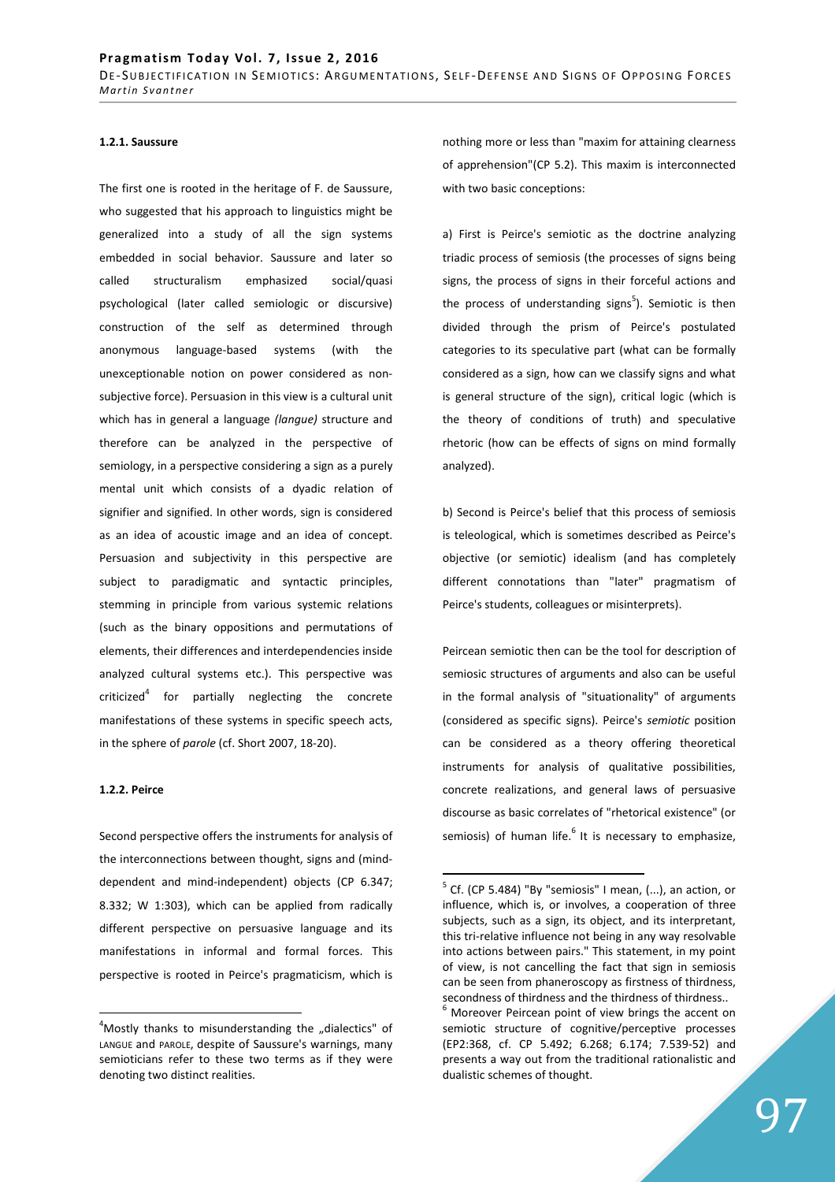#### **1.2.1. Saussure**

The first one is rooted in the heritage of F. de Saussure, who suggested that his approach to linguistics might be generalized into a study of all the sign systems embedded in social behavior. Saussure and later so called structuralism emphasized social/quasi psychological (later called semiologic or discursive) construction of the self as determined through anonymous language-based systems (with the unexceptionable notion on power considered as nonsubjective force). Persuasion in this view is a cultural unit which has in general a language *(langue)* structure and therefore can be analyzed in the perspective of semiology, in a perspective considering a sign as a purely mental unit which consists of a dyadic relation of signifier and signified. In other words, sign is considered as an idea of acoustic image and an idea of concept. Persuasion and subjectivity in this perspective are subject to paradigmatic and syntactic principles, stemming in principle from various systemic relations (such as the binary oppositions and permutations of elements, their differences and interdependencies inside analyzed cultural systems etc.). This perspective was criticized<sup>4</sup> for partially neglecting the concrete manifestations of these systems in specific speech acts, in the sphere of *parole* (cf. Short 2007, 18-20).

## **1.2.2. Peirce**

 $\overline{a}$ 

Second perspective offers the instruments for analysis of the interconnections between thought, signs and (minddependent and mind-independent) objects (CP 6.347; 8.332; W 1:303), which can be applied from radically different perspective on persuasive language and its manifestations in informal and formal forces. This perspective is rooted in Peirce's pragmaticism, which is nothing more or less than "maxim for attaining clearness of apprehension"(CP 5.2). This maxim is interconnected with two basic conceptions:

a) First is Peirce's semiotic as the doctrine analyzing triadic process of semiosis (the processes of signs being signs, the process of signs in their forceful actions and the process of understanding signs<sup>5</sup>). Semiotic is then divided through the prism of Peirce's postulated categories to its speculative part (what can be formally considered as a sign, how can we classify signs and what is general structure of the sign), critical logic (which is the theory of conditions of truth) and speculative rhetoric (how can be effects of signs on mind formally analyzed).

b) Second is Peirce's belief that this process of semiosis is teleological, which is sometimes described as Peirce's objective (or semiotic) idealism (and has completely different connotations than "later" pragmatism of Peirce's students, colleagues or misinterprets).

Peircean semiotic then can be the tool for description of semiosic structures of arguments and also can be useful in the formal analysis of "situationality" of arguments (considered as specific signs). Peirce's *semiotic* position can be considered as a theory offering theoretical instruments for analysis of qualitative possibilities, concrete realizations, and general laws of persuasive discourse as basic correlates of "rhetorical existence" (or semiosis) of human life. $6$  It is necessary to emphasize,

 $4$ Mostly thanks to misunderstanding the "dialectics" of LANGUE and PAROLE, despite of Saussure's warnings, many semioticians refer to these two terms as if they were denoting two distinct realities.

 $<sup>5</sup>$  Cf. (CP 5.484) "By "semiosis" I mean, (...), an action, or</sup> influence, which is, or involves, a cooperation of three subjects, such as a sign, its object, and its interpretant, this tri-relative influence not being in any way resolvable into actions between pairs." This statement, in my point of view, is not cancelling the fact that sign in semiosis can be seen from phaneroscopy as firstness of thirdness, secondness of thirdness and the thirdness of thirdness.. 6

Moreover Peircean point of view brings the accent on semiotic structure of cognitive/perceptive processes (EP2:368, cf. CP 5.492; 6.268; 6.174; 7.539-52) and presents a way out from the traditional rationalistic and dualistic schemes of thought.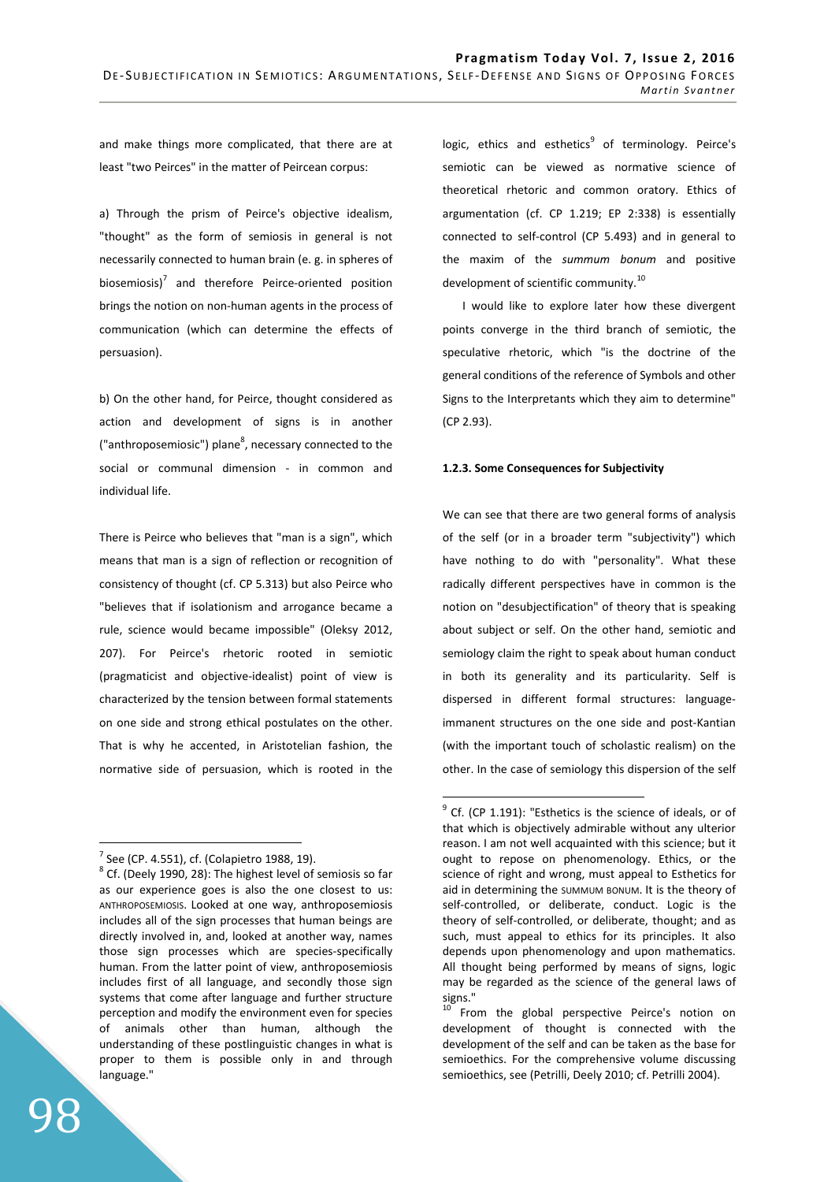and make things more complicated, that there are at least "two Peirces" in the matter of Peircean corpus:

a) Through the prism of Peirce's objective idealism, "thought" as the form of semiosis in general is not necessarily connected to human brain (e. g. in spheres of biosemiosis) $^7$  and therefore Peirce-oriented position brings the notion on non-human agents in the process of communication (which can determine the effects of persuasion).

b) On the other hand, for Peirce, thought considered as action and development of signs is in another ("anthroposemiosic") plane<sup>8</sup>, necessary connected to the social or communal dimension - in common and individual life.

There is Peirce who believes that "man is a sign", which means that man is a sign of reflection or recognition of consistency of thought (cf. CP 5.313) but also Peirce who "believes that if isolationism and arrogance became a rule, science would became impossible" (Oleksy 2012, 207). For Peirce's rhetoric rooted in semiotic (pragmaticist and objective-idealist) point of view is characterized by the tension between formal statements on one side and strong ethical postulates on the other. That is why he accented, in Aristotelian fashion, the normative side of persuasion, which is rooted in the

logic, ethics and esthetics<sup>9</sup> of terminology. Peirce's semiotic can be viewed as normative science of theoretical rhetoric and common oratory. Ethics of argumentation (cf. CP 1.219; EP 2:338) is essentially connected to self-control (CP 5.493) and in general to the maxim of the *summum bonum* and positive development of scientific community.<sup>10</sup>

I would like to explore later how these divergent points converge in the third branch of semiotic, the speculative rhetoric, which "is the doctrine of the general conditions of the reference of Symbols and other Signs to the Interpretants which they aim to determine" (CP 2.93).

#### **1.2.3. Some Consequences for Subjectivity**

We can see that there are two general forms of analysis of the self (or in a broader term "subjectivity") which have nothing to do with "personality". What these radically different perspectives have in common is the notion on "desubjectification" of theory that is speaking about subject or self. On the other hand, semiotic and semiology claim the right to speak about human conduct in both its generality and its particularity. Self is dispersed in different formal structures: languageimmanent structures on the one side and post-Kantian (with the important touch of scholastic realism) on the other. In the case of semiology this dispersion of the self

 $\overline{a}$ 

 $7$  See (CP. 4.551), cf. (Colapietro 1988, 19).

 $8$  Cf. (Deely 1990, 28): The highest level of semiosis so far as our experience goes is also the one closest to us: ANTHROPOSEMIOSIS. Looked at one way, anthroposemiosis includes all of the sign processes that human beings are directly involved in, and, looked at another way, names those sign processes which are species-specifically human. From the latter point of view, anthroposemiosis includes first of all language, and secondly those sign systems that come after language and further structure perception and modify the environment even for species of animals other than human, although the understanding of these postlinguistic changes in what is proper to them is possible only in and through language."

 $9^9$  Cf. (CP 1.191): "Esthetics is the science of ideals, or of that which is objectively admirable without any ulterior reason. I am not well acquainted with this science; but it ought to repose on phenomenology. Ethics, or the science of right and wrong, must appeal to Esthetics for aid in determining the SUMMUM BONUM. It is the theory of self-controlled, or deliberate, conduct. Logic is the theory of self-controlled, or deliberate, thought; and as such, must appeal to ethics for its principles. It also depends upon phenomenology and upon mathematics. All thought being performed by means of signs, logic may be regarded as the science of the general laws of signs."

From the global perspective Peirce's notion on development of thought is connected with the development of the self and can be taken as the base for semioethics. For the comprehensive volume discussing semioethics, see (Petrilli, Deely 2010; cf. Petrilli 2004).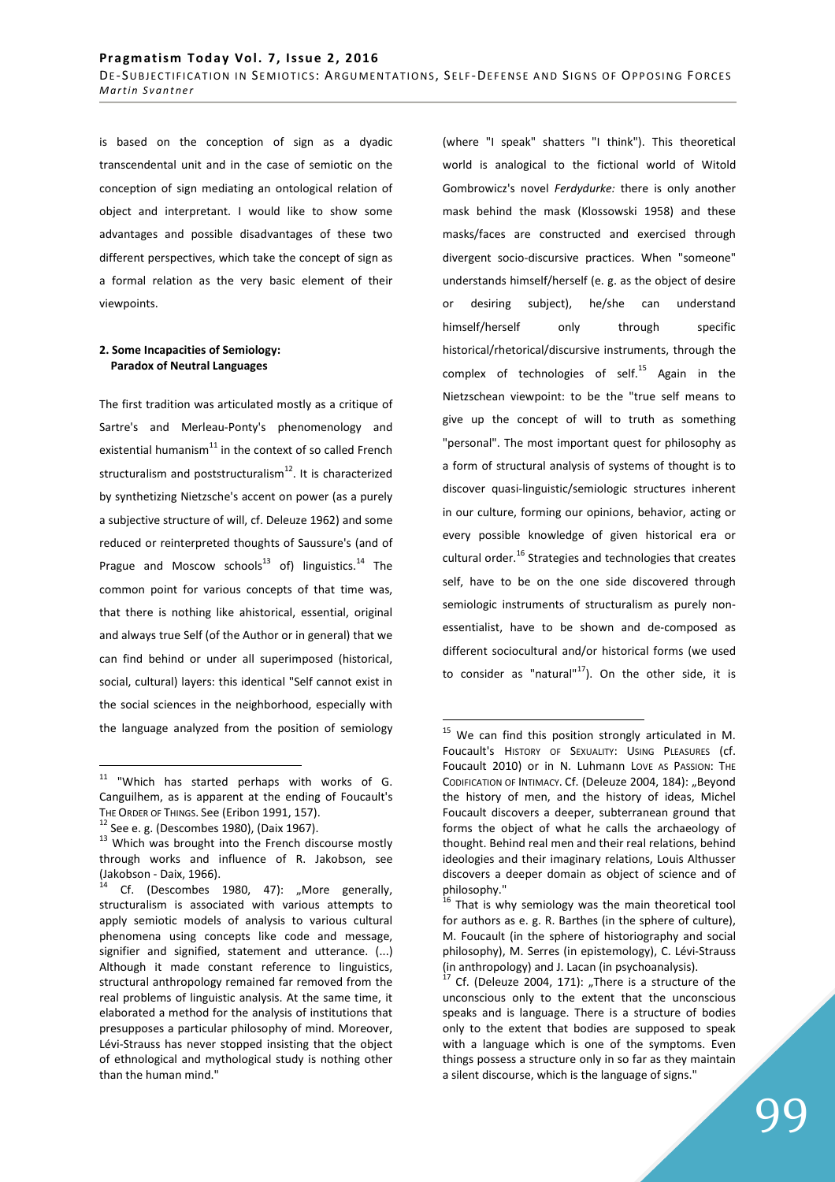$\overline{a}$ 

is based on the conception of sign as a dyadic transcendental unit and in the case of semiotic on the conception of sign mediating an ontological relation of object and interpretant. I would like to show some advantages and possible disadvantages of these two different perspectives, which take the concept of sign as a formal relation as the very basic element of their viewpoints.

### **2. Some Incapacities of Semiology: Paradox of Neutral Languages**

The first tradition was articulated mostly as a critique of Sartre's and Merleau-Ponty's phenomenology and existential humanism $^{11}$  in the context of so called French structuralism and poststructuralism<sup>12</sup>. It is characterized by synthetizing Nietzsche's accent on power (as a purely a subjective structure of will, cf. Deleuze 1962) and some reduced or reinterpreted thoughts of Saussure's (and of Prague and Moscow schools<sup>13</sup> of) linguistics.<sup>14</sup> The common point for various concepts of that time was, that there is nothing like ahistorical, essential, original and always true Self (of the Author or in general) that we can find behind or under all superimposed (historical, social, cultural) layers: this identical "Self cannot exist in the social sciences in the neighborhood, especially with the language analyzed from the position of semiology

 $\overline{a}$ 

(where "I speak" shatters "I think"). This theoretical world is analogical to the fictional world of Witold Gombrowicz's novel *Ferdydurke:* there is only another mask behind the mask (Klossowski 1958) and these masks/faces are constructed and exercised through divergent socio-discursive practices. When "someone" understands himself/herself (e. g. as the object of desire or desiring subject), he/she can understand himself/herself only through specific historical/rhetorical/discursive instruments, through the complex of technologies of self.<sup>15</sup> Again in the Nietzschean viewpoint: to be the "true self means to give up the concept of will to truth as something "personal". The most important quest for philosophy as a form of structural analysis of systems of thought is to discover quasi-linguistic/semiologic structures inherent in our culture, forming our opinions, behavior, acting or every possible knowledge of given historical era or cultural order.<sup>16</sup> Strategies and technologies that creates self, have to be on the one side discovered through semiologic instruments of structuralism as purely nonessentialist, have to be shown and de-composed as different sociocultural and/or historical forms (we used to consider as "natural" $^{17}$ ). On the other side, it is

 $11$  "Which has started perhaps with works of G. Canguilhem, as is apparent at the ending of Foucault's THE ORDER OF THINGS. See (Eribon 1991, 157).

 $12$  See e. g. (Descombes 1980), (Daix 1967).

<sup>&</sup>lt;sup>13</sup> Which was brought into the French discourse mostly through works and influence of R. Jakobson, see (Jakobson - Daix, 1966).

Cf. (Descombes 1980, 47): "More generally, structuralism is associated with various attempts to apply semiotic models of analysis to various cultural phenomena using concepts like code and message, signifier and signified, statement and utterance. (...) Although it made constant reference to linguistics, structural anthropology remained far removed from the real problems of linguistic analysis. At the same time, it elaborated a method for the analysis of institutions that presupposes a particular philosophy of mind. Moreover, Lévi-Strauss has never stopped insisting that the object of ethnological and mythological study is nothing other than the human mind."

<sup>&</sup>lt;sup>15</sup> We can find this position strongly articulated in M. Foucault's HISTORY OF SEXUALITY: USING PLEASURES (cf. Foucault 2010) or in N. Luhmann LOVE AS PASSION: THE CODIFICATION OF INTIMACY. Cf. (Deleuze 2004, 184): "Beyond the history of men, and the history of ideas, Michel Foucault discovers a deeper, subterranean ground that forms the object of what he calls the archaeology of thought. Behind real men and their real relations, behind ideologies and their imaginary relations, Louis Althusser discovers a deeper domain as object of science and of philosophy."

<sup>&</sup>lt;sup>16</sup> That is why semiology was the main theoretical tool for authors as e. g. R. Barthes (in the sphere of culture), M. Foucault (in the sphere of historiography and social philosophy), M. Serres (in epistemology), C. Lévi-Strauss (in anthropology) and J. Lacan (in psychoanalysis).

Cf. (Deleuze 2004, 171): "There is a structure of the unconscious only to the extent that the unconscious speaks and is language. There is a structure of bodies only to the extent that bodies are supposed to speak with a language which is one of the symptoms. Even things possess a structure only in so far as they maintain a silent discourse, which is the language of signs."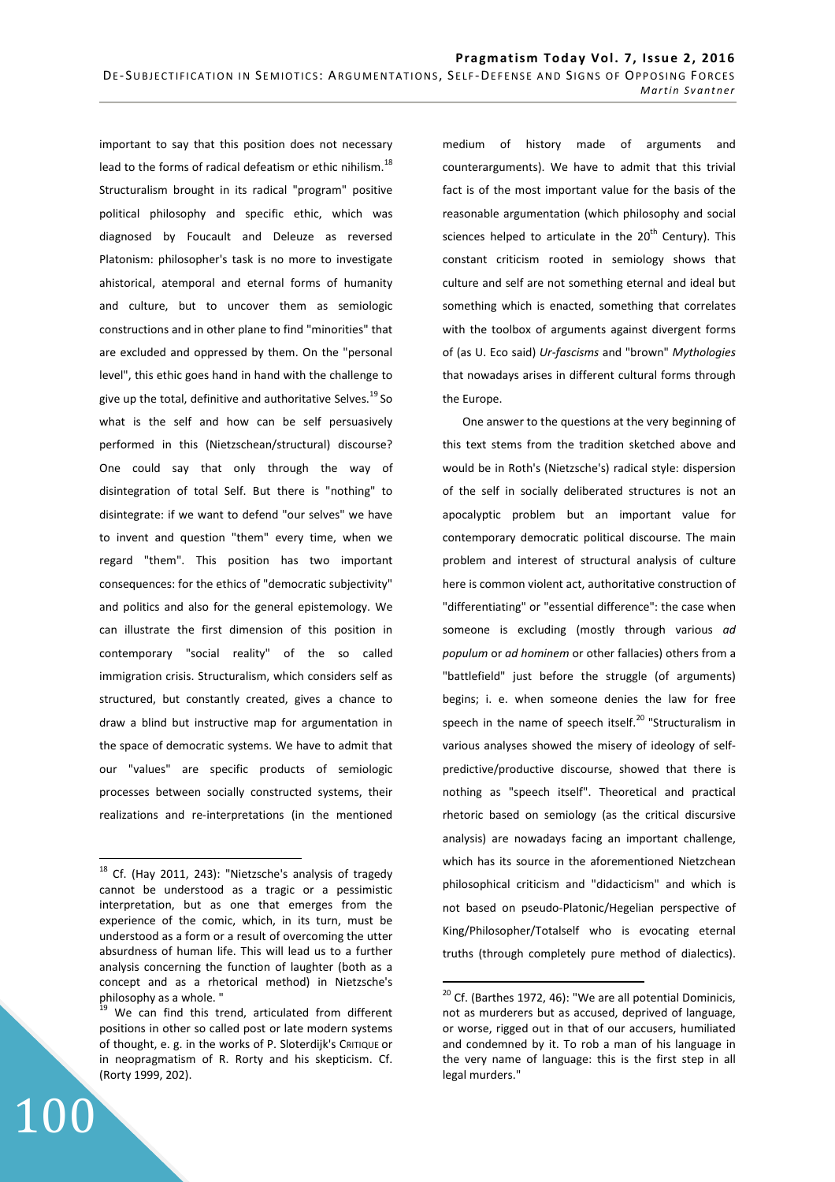important to say that this position does not necessary lead to the forms of radical defeatism or ethic nihilism.<sup>18</sup> Structuralism brought in its radical "program" positive political philosophy and specific ethic, which was diagnosed by Foucault and Deleuze as reversed Platonism: philosopher's task is no more to investigate ahistorical, atemporal and eternal forms of humanity and culture, but to uncover them as semiologic constructions and in other plane to find "minorities" that are excluded and oppressed by them. On the "personal level", this ethic goes hand in hand with the challenge to give up the total, definitive and authoritative Selves.<sup>19</sup> So what is the self and how can be self persuasively performed in this (Nietzschean/structural) discourse? One could say that only through the way of disintegration of total Self. But there is "nothing" to disintegrate: if we want to defend "our selves" we have to invent and question "them" every time, when we regard "them". This position has two important consequences: for the ethics of "democratic subjectivity" and politics and also for the general epistemology. We can illustrate the first dimension of this position in contemporary "social reality" of the so called immigration crisis. Structuralism, which considers self as structured, but constantly created, gives a chance to draw a blind but instructive map for argumentation in the space of democratic systems. We have to admit that our "values" are specific products of semiologic processes between socially constructed systems, their realizations and re-interpretations (in the mentioned

100

 $\overline{a}$ 

medium of history made of arguments and counterarguments). We have to admit that this trivial fact is of the most important value for the basis of the reasonable argumentation (which philosophy and social sciences helped to articulate in the  $20<sup>th</sup>$  Century). This constant criticism rooted in semiology shows that culture and self are not something eternal and ideal but something which is enacted, something that correlates with the toolbox of arguments against divergent forms of (as U. Eco said) *Ur-fascisms* and "brown" *Mythologies*  that nowadays arises in different cultural forms through the Europe.

One answer to the questions at the very beginning of this text stems from the tradition sketched above and would be in Roth's (Nietzsche's) radical style: dispersion of the self in socially deliberated structures is not an apocalyptic problem but an important value for contemporary democratic political discourse. The main problem and interest of structural analysis of culture here is common violent act, authoritative construction of "differentiating" or "essential difference": the case when someone is excluding (mostly through various *ad populum* or *ad hominem* or other fallacies) others from a "battlefield" just before the struggle (of arguments) begins; i. e. when someone denies the law for free speech in the name of speech itself.<sup>20</sup> "Structuralism in various analyses showed the misery of ideology of selfpredictive/productive discourse, showed that there is nothing as "speech itself". Theoretical and practical rhetoric based on semiology (as the critical discursive analysis) are nowadays facing an important challenge, which has its source in the aforementioned Nietzchean philosophical criticism and "didacticism" and which is not based on pseudo-Platonic/Hegelian perspective of King/Philosopher/Totalself who is evocating eternal truths (through completely pure method of dialectics).

<sup>&</sup>lt;sup>18</sup> Cf. (Hay 2011, 243): "Nietzsche's analysis of tragedy cannot be understood as a tragic or a pessimistic interpretation, but as one that emerges from the experience of the comic, which, in its turn, must be understood as a form or a result of overcoming the utter absurdness of human life. This will lead us to a further analysis concerning the function of laughter (both as a concept and as a rhetorical method) in Nietzsche's philosophy as a whole. "

We can find this trend, articulated from different positions in other so called post or late modern systems of thought, e. g. in the works of P. Sloterdijk's CRITIQUE or in neopragmatism of R. Rorty and his skepticism. Cf. (Rorty 1999, 202).

 $20$  Cf. (Barthes 1972, 46): "We are all potential Dominicis, not as murderers but as accused, deprived of language, or worse, rigged out in that of our accusers, humiliated and condemned by it. To rob a man of his language in the very name of language: this is the first step in all legal murders."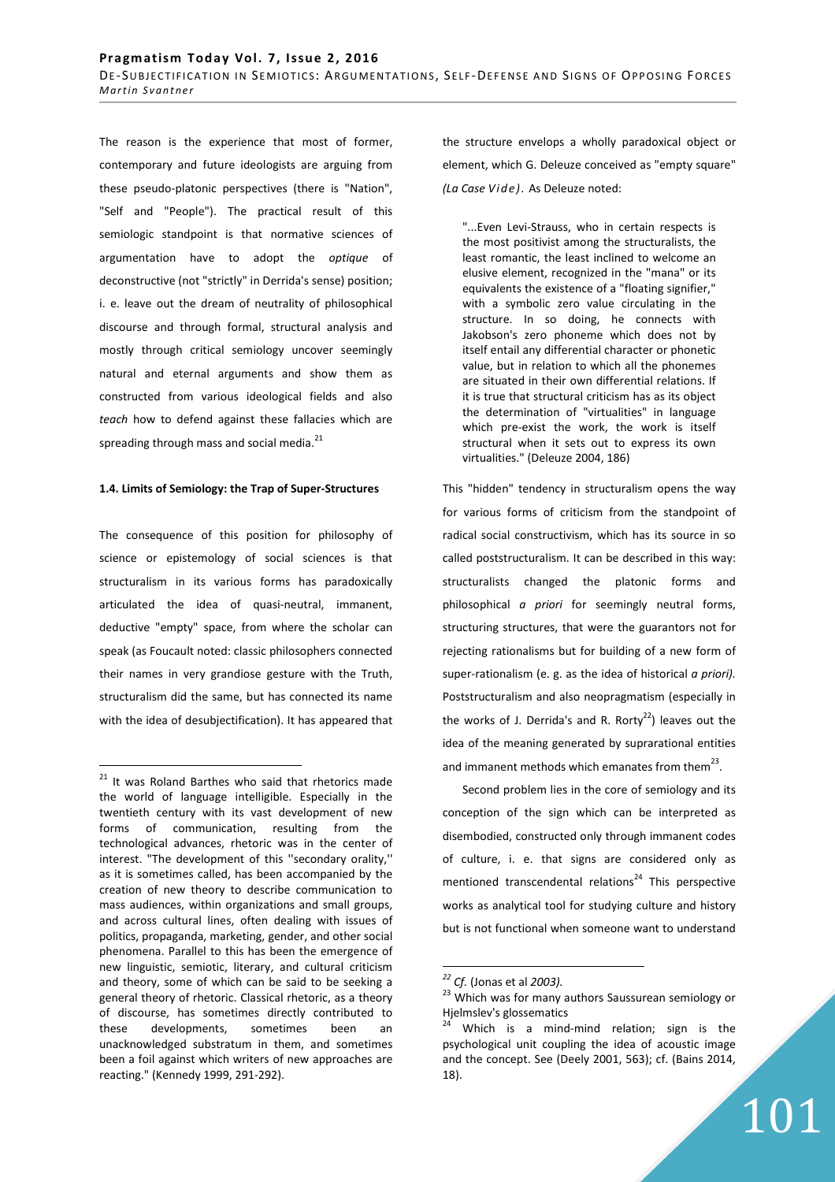The reason is the experience that most of former, contemporary and future ideologists are arguing from these pseudo-platonic perspectives (there is "Nation", "Self and "People"). The practical result of this semiologic standpoint is that normative sciences of argumentation have to adopt the *optique* of deconstructive (not "strictly" in Derrida's sense) position; i. e. leave out the dream of neutrality of philosophical discourse and through formal, structural analysis and mostly through critical semiology uncover seemingly natural and eternal arguments and show them as constructed from various ideological fields and also *teach* how to defend against these fallacies which are spreading through mass and social media.<sup>21</sup>

## **1.4. Limits of Semiology: the Trap of Super-Structures**

The consequence of this position for philosophy of science or epistemology of social sciences is that structuralism in its various forms has paradoxically articulated the idea of quasi-neutral, immanent, deductive "empty" space, from where the scholar can speak (as Foucault noted: classic philosophers connected their names in very grandiose gesture with the Truth, structuralism did the same, but has connected its name with the idea of desubjectification). It has appeared that

 $\overline{a}$ 

the structure envelops a wholly paradoxical object or element, which G. Deleuze conceived as "empty square" *(La Case V id e).* As Deleuze noted:

"...Even Levi-Strauss, who in certain respects is the most positivist among the structuralists, the least romantic, the least inclined to welcome an elusive element, recognized in the "mana" or its equivalents the existence of a "floating signifier," with a symbolic zero value circulating in the structure. In so doing, he connects with Jakobson's zero phoneme which does not by itself entail any differential character or phonetic value, but in relation to which all the phonemes are situated in their own differential relations. If it is true that structural criticism has as its object the determination of "virtualities" in language which pre-exist the work, the work is itself structural when it sets out to express its own virtualities." (Deleuze 2004, 186)

This "hidden" tendency in structuralism opens the way for various forms of criticism from the standpoint of radical social constructivism, which has its source in so called poststructuralism. It can be described in this way: structuralists changed the platonic forms and philosophical *a priori* for seemingly neutral forms, structuring structures, that were the guarantors not for rejecting rationalisms but for building of a new form of super-rationalism (e. g. as the idea of historical *a priori).*  Poststructuralism and also neopragmatism (especially in the works of J. Derrida's and R. Rorty<sup>22</sup>) leaves out the idea of the meaning generated by suprarational entities and immanent methods which emanates from them $^{23}$ .

Second problem lies in the core of semiology and its conception of the sign which can be interpreted as disembodied, constructed only through immanent codes of culture, i. e. that signs are considered only as mentioned transcendental relations $24$  This perspective works as analytical tool for studying culture and history but is not functional when someone want to understand

<sup>&</sup>lt;sup>21</sup> It was Roland Barthes who said that rhetorics made the world of language intelligible. Especially in the twentieth century with its vast development of new forms of communication, resulting from the technological advances, rhetoric was in the center of interest. "The development of this ''secondary orality,'' as it is sometimes called, has been accompanied by the creation of new theory to describe communication to mass audiences, within organizations and small groups, and across cultural lines, often dealing with issues of politics, propaganda, marketing, gender, and other social phenomena. Parallel to this has been the emergence of new linguistic, semiotic, literary, and cultural criticism and theory, some of which can be said to be seeking a general theory of rhetoric. Classical rhetoric, as a theory of discourse, has sometimes directly contributed to these developments, sometimes been an unacknowledged substratum in them, and sometimes been a foil against which writers of new approaches are reacting." (Kennedy 1999, 291-292).

*<sup>22</sup> Cf.* (Jonas et al *2003).*

<sup>&</sup>lt;sup>23</sup> Which was for many authors Saussurean semiology or Hjelmslev's glossematics

Which is a mind-mind relation; sign is the psychological unit coupling the idea of acoustic image and the concept. See (Deely 2001, 563); cf. (Bains 2014, 18).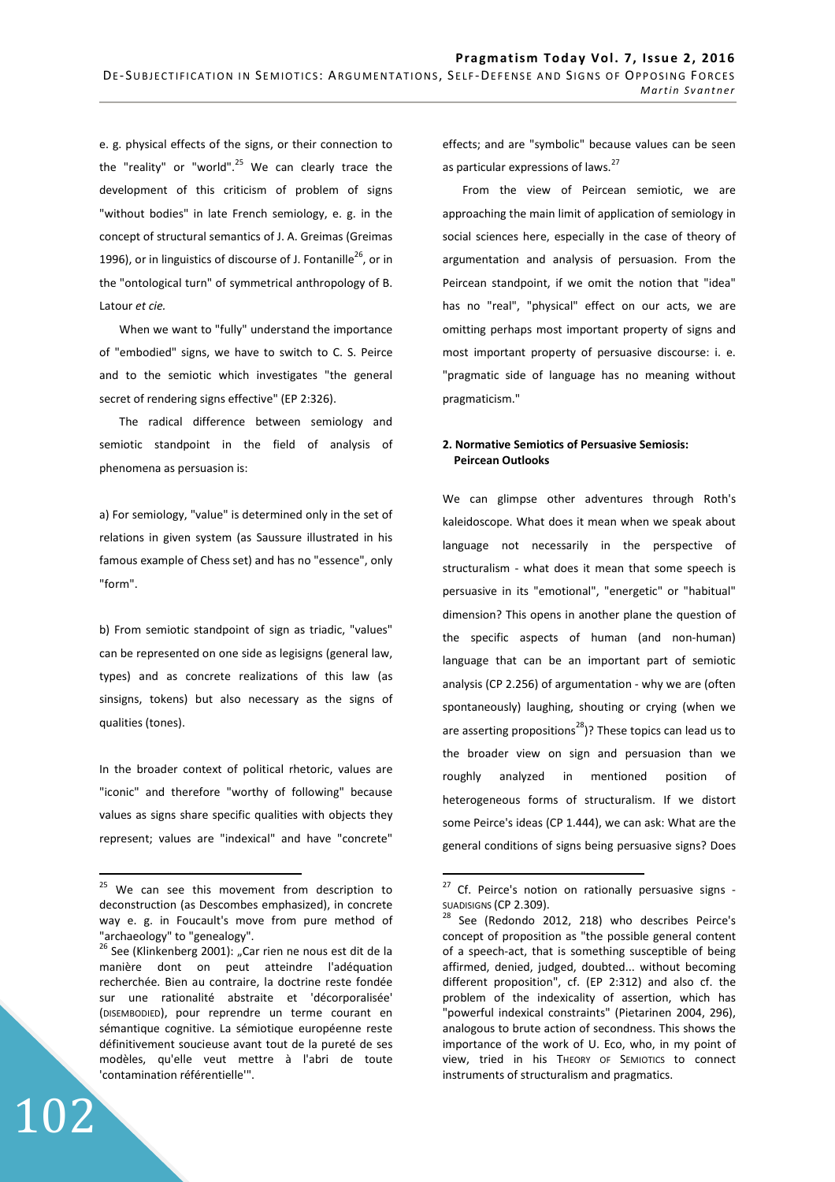e. g. physical effects of the signs, or their connection to the "reality" or "world". $25$  We can clearly trace the development of this criticism of problem of signs "without bodies" in late French semiology, e. g. in the concept of structural semantics of J. A. Greimas (Greimas 1996), or in linguistics of discourse of J. Fontanille<sup>26</sup>, or in the "ontological turn" of symmetrical anthropology of B. Latour *et cie.* 

When we want to "fully" understand the importance of "embodied" signs, we have to switch to C. S. Peirce and to the semiotic which investigates "the general secret of rendering signs effective" (EP 2:326).

The radical difference between semiology and semiotic standpoint in the field of analysis of phenomena as persuasion is:

a) For semiology, "value" is determined only in the set of relations in given system (as Saussure illustrated in his famous example of Chess set) and has no "essence", only "form".

b) From semiotic standpoint of sign as triadic, "values" can be represented on one side as legisigns (general law, types) and as concrete realizations of this law (as sinsigns, tokens) but also necessary as the signs of qualities (tones).

In the broader context of political rhetoric, values are "iconic" and therefore "worthy of following" because values as signs share specific qualities with objects they represent; values are "indexical" and have "concrete"

102

 $\overline{a}$ 

effects; and are "symbolic" because values can be seen as particular expressions of laws.<sup>27</sup>

From the view of Peircean semiotic, we are approaching the main limit of application of semiology in social sciences here, especially in the case of theory of argumentation and analysis of persuasion. From the Peircean standpoint, if we omit the notion that "idea" has no "real", "physical" effect on our acts, we are omitting perhaps most important property of signs and most important property of persuasive discourse: i. e. "pragmatic side of language has no meaning without pragmaticism."

## **2. Normative Semiotics of Persuasive Semiosis: Peircean Outlooks**

We can glimpse other adventures through Roth's kaleidoscope. What does it mean when we speak about language not necessarily in the perspective of structuralism - what does it mean that some speech is persuasive in its "emotional", "energetic" or "habitual" dimension? This opens in another plane the question of the specific aspects of human (and non-human) language that can be an important part of semiotic analysis (CP 2.256) of argumentation - why we are (often spontaneously) laughing, shouting or crying (when we are asserting propositions<sup>28</sup>)? These topics can lead us to the broader view on sign and persuasion than we roughly analyzed in mentioned position of heterogeneous forms of structuralism. If we distort some Peirce's ideas (CP 1.444), we can ask: What are the general conditions of signs being persuasive signs? Does

<sup>&</sup>lt;sup>25</sup> We can see this movement from description to deconstruction (as Descombes emphasized), in concrete way e. g. in Foucault's move from pure method of "archaeology" to "genealogy".

 $26$  See (Klinkenberg 2001): "Car rien ne nous est dit de la manière dont on peut atteindre l'adéquation recherchée. Bien au contraire, la doctrine reste fondée sur une rationalité abstraite et 'décorporalisée' (DISEMBODIED), pour reprendre un terme courant en sémantique cognitive. La sémiotique européenne reste définitivement soucieuse avant tout de la pureté de ses modèles, qu'elle veut mettre à l'abri de toute 'contamination référentielle'".

 $27$  Cf. Peirce's notion on rationally persuasive signs -SUADISIGNS (CP 2.309).

See (Redondo 2012, 218) who describes Peirce's concept of proposition as "the possible general content of a speech-act, that is something susceptible of being affirmed, denied, judged, doubted... without becoming different proposition", cf. (EP 2:312) and also cf. the problem of the indexicality of assertion, which has "powerful indexical constraints" (Pietarinen 2004, 296), analogous to brute action of secondness. This shows the importance of the work of U. Eco, who, in my point of view, tried in his THEORY OF SEMIOTICS to connect instruments of structuralism and pragmatics.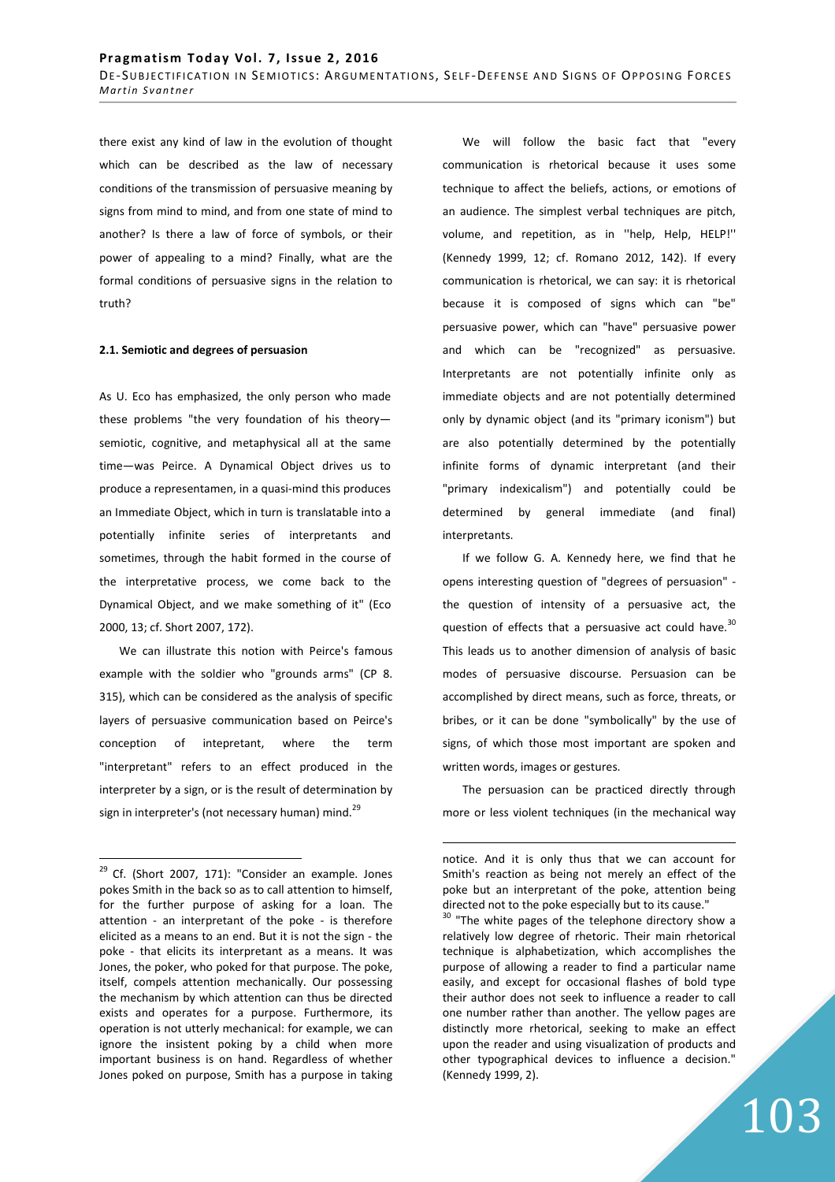there exist any kind of law in the evolution of thought which can be described as the law of necessary conditions of the transmission of persuasive meaning by signs from mind to mind, and from one state of mind to another? Is there a law of force of symbols, or their power of appealing to a mind? Finally, what are the formal conditions of persuasive signs in the relation to truth?

#### **2.1. Semiotic and degrees of persuasion**

As U. Eco has emphasized, the only person who made these problems "the very foundation of his theory semiotic, cognitive, and metaphysical all at the same time—was Peirce. A Dynamical Object drives us to produce a representamen, in a quasi-mind this produces an Immediate Object, which in turn is translatable into a potentially infinite series of interpretants and sometimes, through the habit formed in the course of the interpretative process, we come back to the Dynamical Object, and we make something of it" (Eco 2000, 13; cf. Short 2007, 172).

We can illustrate this notion with Peirce's famous example with the soldier who "grounds arms" (CP 8. 315), which can be considered as the analysis of specific layers of persuasive communication based on Peirce's conception of intepretant, where the term "interpretant" refers to an effect produced in the interpreter by a sign, or is the result of determination by sign in interpreter's (not necessary human) mind.<sup>29</sup>

 $\overline{a}$ 

We will follow the basic fact that "every communication is rhetorical because it uses some technique to affect the beliefs, actions, or emotions of an audience. The simplest verbal techniques are pitch, volume, and repetition, as in ''help, Help, HELP!'' (Kennedy 1999, 12; cf. Romano 2012, 142). If every communication is rhetorical, we can say: it is rhetorical because it is composed of signs which can "be" persuasive power, which can "have" persuasive power and which can be "recognized" as persuasive. Interpretants are not potentially infinite only as immediate objects and are not potentially determined only by dynamic object (and its "primary iconism") but are also potentially determined by the potentially infinite forms of dynamic interpretant (and their "primary indexicalism") and potentially could be determined by general immediate (and final) interpretants.

If we follow G. A. Kennedy here, we find that he opens interesting question of "degrees of persuasion" the question of intensity of a persuasive act, the question of effects that a persuasive act could have.<sup>30</sup> This leads us to another dimension of analysis of basic modes of persuasive discourse. Persuasion can be accomplished by direct means, such as force, threats, or bribes, or it can be done "symbolically" by the use of signs, of which those most important are spoken and written words, images or gestures.

The persuasion can be practiced directly through more or less violent techniques (in the mechanical way

 $\overline{a}$ 

 $29$  Cf. (Short 2007, 171): "Consider an example. Jones pokes Smith in the back so as to call attention to himself, for the further purpose of asking for a loan. The attention - an interpretant of the poke - is therefore elicited as a means to an end. But it is not the sign - the poke - that elicits its interpretant as a means. It was Jones, the poker, who poked for that purpose. The poke, itself, compels attention mechanically. Our possessing the mechanism by which attention can thus be directed exists and operates for a purpose. Furthermore, its operation is not utterly mechanical: for example, we can ignore the insistent poking by a child when more important business is on hand. Regardless of whether Jones poked on purpose, Smith has a purpose in taking

notice. And it is only thus that we can account for Smith's reaction as being not merely an effect of the poke but an interpretant of the poke, attention being directed not to the poke especially but to its cause."

 $30$  "The white pages of the telephone directory show a relatively low degree of rhetoric. Their main rhetorical technique is alphabetization, which accomplishes the purpose of allowing a reader to find a particular name easily, and except for occasional flashes of bold type their author does not seek to influence a reader to call one number rather than another. The yellow pages are distinctly more rhetorical, seeking to make an effect upon the reader and using visualization of products and other typographical devices to influence a decision." (Kennedy 1999, 2).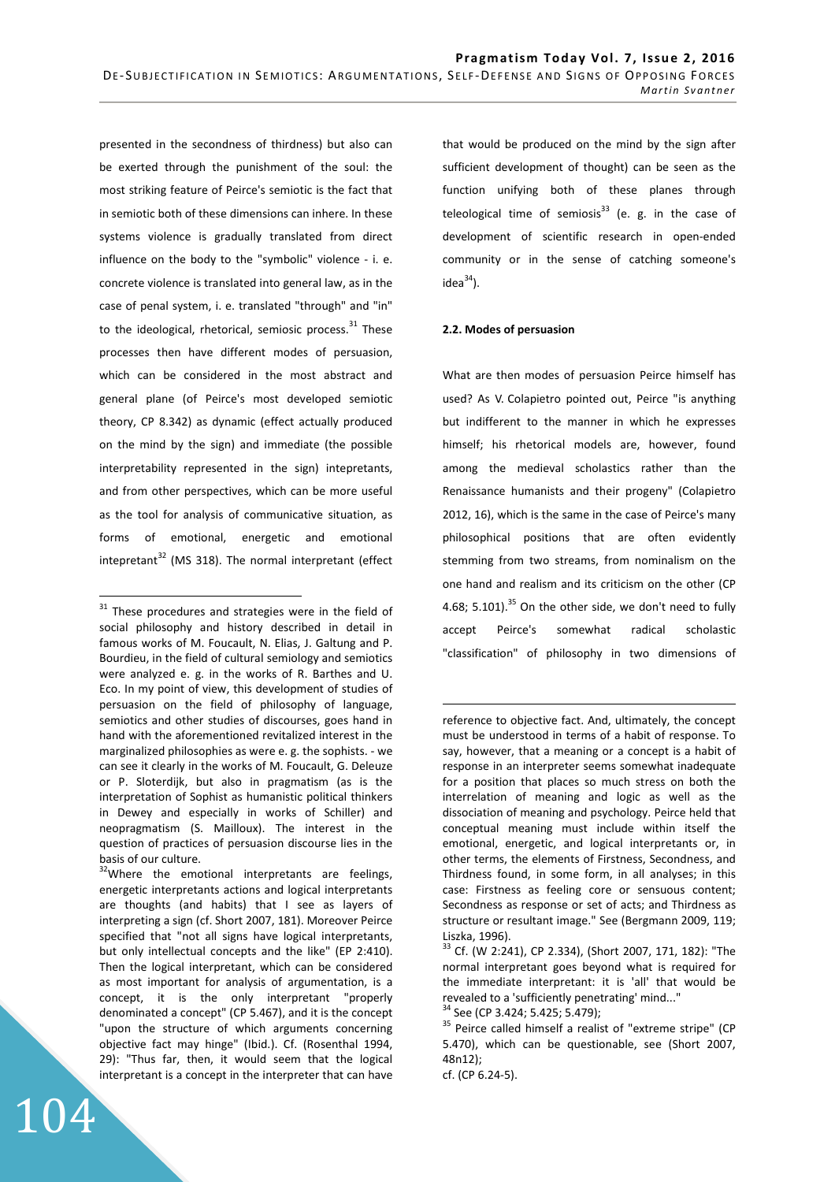presented in the secondness of thirdness) but also can be exerted through the punishment of the soul: the most striking feature of Peirce's semiotic is the fact that in semiotic both of these dimensions can inhere. In these systems violence is gradually translated from direct influence on the body to the "symbolic" violence - i. e. concrete violence is translated into general law, as in the case of penal system, i. e. translated "through" and "in" to the ideological, rhetorical, semiosic process. $31$  These processes then have different modes of persuasion, which can be considered in the most abstract and general plane (of Peirce's most developed semiotic theory, CP 8.342) as dynamic (effect actually produced on the mind by the sign) and immediate (the possible interpretability represented in the sign) intepretants, and from other perspectives, which can be more useful as the tool for analysis of communicative situation, as forms of emotional, energetic and emotional intepretant $32$  (MS 318). The normal interpretant (effect

 $32$ Where the emotional interpretants are feelings, energetic interpretants actions and logical interpretants are thoughts (and habits) that I see as layers of interpreting a sign (cf. Short 2007, 181). Moreover Peirce specified that "not all signs have logical interpretants, but only intellectual concepts and the like" (EP 2:410). Then the logical interpretant, which can be considered as most important for analysis of argumentation, is a concept, it is the only interpretant "properly denominated a concept" (CP 5.467), and it is the concept "upon the structure of which arguments concerning objective fact may hinge" (Ibid.). Cf. (Rosenthal 1994, 29): "Thus far, then, it would seem that the logical interpretant is a concept in the interpreter that can have

104

 $\overline{a}$ 

that would be produced on the mind by the sign after sufficient development of thought) can be seen as the function unifying both of these planes through teleological time of semiosis $^{33}$  (e. g. in the case of development of scientific research in open-ended community or in the sense of catching someone's  $idea<sup>34</sup>$ ).

## **2.2. Modes of persuasion**

What are then modes of persuasion Peirce himself has used? As V. Colapietro pointed out, Peirce "is anything but indifferent to the manner in which he expresses himself; his rhetorical models are, however, found among the medieval scholastics rather than the Renaissance humanists and their progeny" (Colapietro 2012, 16), which is the same in the case of Peirce's many philosophical positions that are often evidently stemming from two streams, from nominalism on the one hand and realism and its criticism on the other (CP 4.68; 5.101). $35$  On the other side, we don't need to fully accept Peirce's somewhat radical scholastic "classification" of philosophy in two dimensions of

 $\overline{a}$ reference to objective fact. And, ultimately, the concept must be understood in terms of a habit of response. To say, however, that a meaning or a concept is a habit of response in an interpreter seems somewhat inadequate for a position that places so much stress on both the interrelation of meaning and logic as well as the dissociation of meaning and psychology. Peirce held that conceptual meaning must include within itself the emotional, energetic, and logical interpretants or, in other terms, the elements of Firstness, Secondness, and Thirdness found, in some form, in all analyses; in this case: Firstness as feeling core or sensuous content; Secondness as response or set of acts; and Thirdness as structure or resultant image." See (Bergmann 2009, 119; Liszka, 1996).

<sup>33</sup> Cf. (W 2:241), CP 2.334), (Short 2007, 171, 182): "The normal interpretant goes beyond what is required for the immediate interpretant: it is 'all' that would be revealed to a 'sufficiently penetrating' mind..."

<sup>34</sup> See (CP 3.424; 5.425; 5.479);

<sup>35</sup> Peirce called himself a realist of "extreme stripe" (CP 5.470), which can be questionable, see (Short 2007, 48n12);

cf. (CP 6.24-5).

 $31$  These procedures and strategies were in the field of social philosophy and history described in detail in famous works of M. Foucault, N. Elias, J. Galtung and P. Bourdieu, in the field of cultural semiology and semiotics were analyzed e. g. in the works of R. Barthes and U. Eco. In my point of view, this development of studies of persuasion on the field of philosophy of language, semiotics and other studies of discourses, goes hand in hand with the aforementioned revitalized interest in the marginalized philosophies as were e. g. the sophists. - we can see it clearly in the works of M. Foucault, G. Deleuze or P. Sloterdijk, but also in pragmatism (as is the interpretation of Sophist as humanistic political thinkers in Dewey and especially in works of Schiller) and neopragmatism (S. Mailloux). The interest in the question of practices of persuasion discourse lies in the basis of our culture.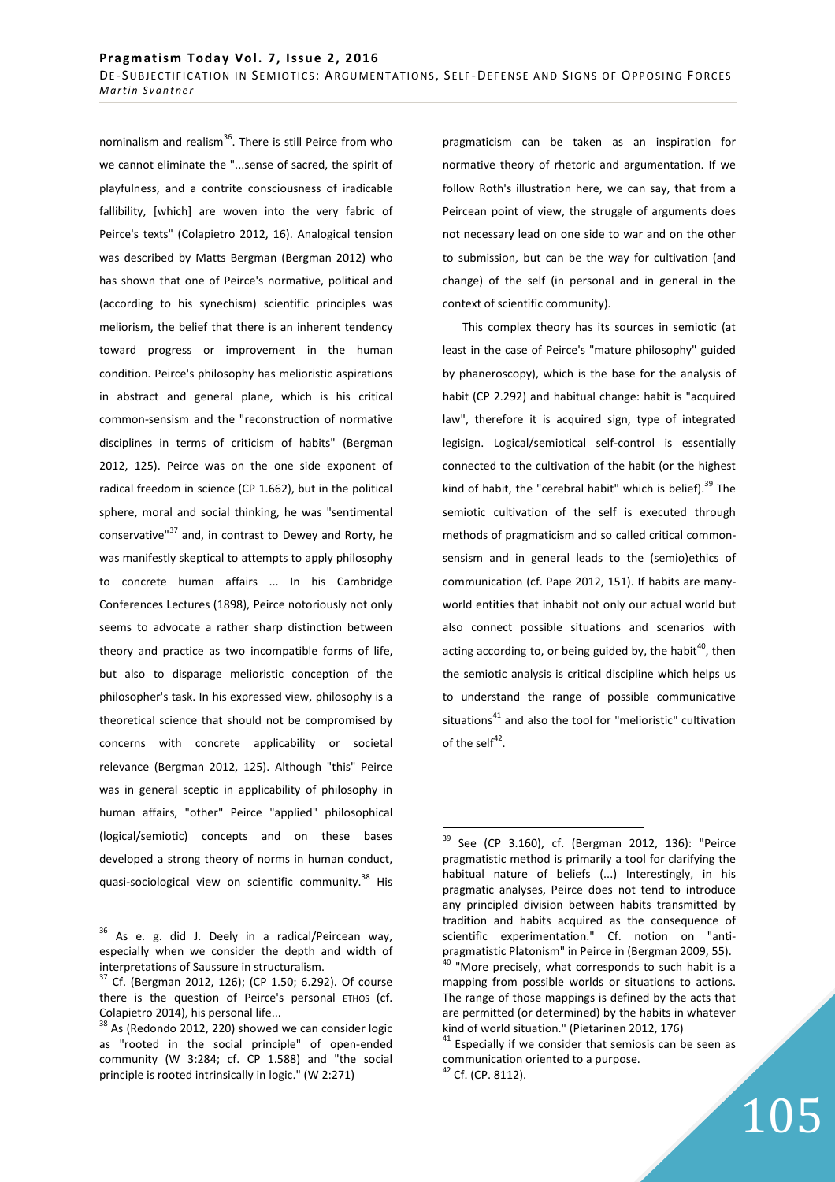nominalism and realism<sup>36</sup>. There is still Peirce from who we cannot eliminate the "...sense of sacred, the spirit of playfulness, and a contrite consciousness of iradicable fallibility, [which] are woven into the very fabric of Peirce's texts" (Colapietro 2012, 16). Analogical tension was described by Matts Bergman (Bergman 2012) who has shown that one of Peirce's normative, political and (according to his synechism) scientific principles was meliorism, the belief that there is an inherent tendency toward progress or improvement in the human condition. Peirce's philosophy has melioristic aspirations in abstract and general plane, which is his critical common-sensism and the "reconstruction of normative disciplines in terms of criticism of habits" (Bergman 2012, 125). Peirce was on the one side exponent of radical freedom in science (CP 1.662), but in the political sphere, moral and social thinking, he was "sentimental conservative"<sup>37</sup> and, in contrast to Dewey and Rorty, he was manifestly skeptical to attempts to apply philosophy to concrete human affairs ... In his Cambridge Conferences Lectures (1898), Peirce notoriously not only seems to advocate a rather sharp distinction between theory and practice as two incompatible forms of life, but also to disparage melioristic conception of the philosopher's task. In his expressed view, philosophy is a theoretical science that should not be compromised by concerns with concrete applicability or societal relevance (Bergman 2012, 125). Although "this" Peirce was in general sceptic in applicability of philosophy in human affairs, "other" Peirce "applied" philosophical (logical/semiotic) concepts and on these bases developed a strong theory of norms in human conduct, quasi-sociological view on scientific community.<sup>38</sup> His

 $\overline{a}$ 

pragmaticism can be taken as an inspiration for normative theory of rhetoric and argumentation. If we follow Roth's illustration here, we can say, that from a Peircean point of view, the struggle of arguments does not necessary lead on one side to war and on the other to submission, but can be the way for cultivation (and change) of the self (in personal and in general in the context of scientific community).

This complex theory has its sources in semiotic (at least in the case of Peirce's "mature philosophy" guided by phaneroscopy), which is the base for the analysis of habit (CP 2.292) and habitual change: habit is "acquired law", therefore it is acquired sign, type of integrated legisign. Logical/semiotical self-control is essentially connected to the cultivation of the habit (or the highest kind of habit, the "cerebral habit" which is belief).<sup>39</sup> The semiotic cultivation of the self is executed through methods of pragmaticism and so called critical commonsensism and in general leads to the (semio)ethics of communication (cf. Pape 2012, 151). If habits are manyworld entities that inhabit not only our actual world but also connect possible situations and scenarios with acting according to, or being guided by, the habit<sup>40</sup>, then the semiotic analysis is critical discipline which helps us to understand the range of possible communicative situations $41$  and also the tool for "melioristic" cultivation of the self $42$ .

 $\overline{a}$ 

<sup>&</sup>lt;sup>36</sup> As e. g. did J. Deely in a radical/Peircean way, especially when we consider the depth and width of interpretations of Saussure in structuralism.

<sup>37</sup> Cf. (Bergman 2012, 126); (CP 1.50; 6.292). Of course there is the question of Peirce's personal ETHOS (cf. Colapietro 2014), his personal life...

 $38$  As (Redondo 2012, 220) showed we can consider logic as "rooted in the social principle" of open-ended community (W 3:284; cf. CP 1.588) and "the social principle is rooted intrinsically in logic." (W 2:271)

 $39$  See (CP 3.160), cf. (Bergman 2012, 136): "Peirce pragmatistic method is primarily a tool for clarifying the habitual nature of beliefs (...) Interestingly, in his pragmatic analyses, Peirce does not tend to introduce any principled division between habits transmitted by tradition and habits acquired as the consequence of scientific experimentation." Cf. notion on "antipragmatistic Platonism" in Peirce in (Bergman 2009, 55).

 $40$  "More precisely, what corresponds to such habit is a mapping from possible worlds or situations to actions. The range of those mappings is defined by the acts that are permitted (or determined) by the habits in whatever kind of world situation." (Pietarinen 2012, 176)

 $41$  Especially if we consider that semiosis can be seen as communication oriented to a purpose. <sup>42</sup> Cf. (CP. 8112).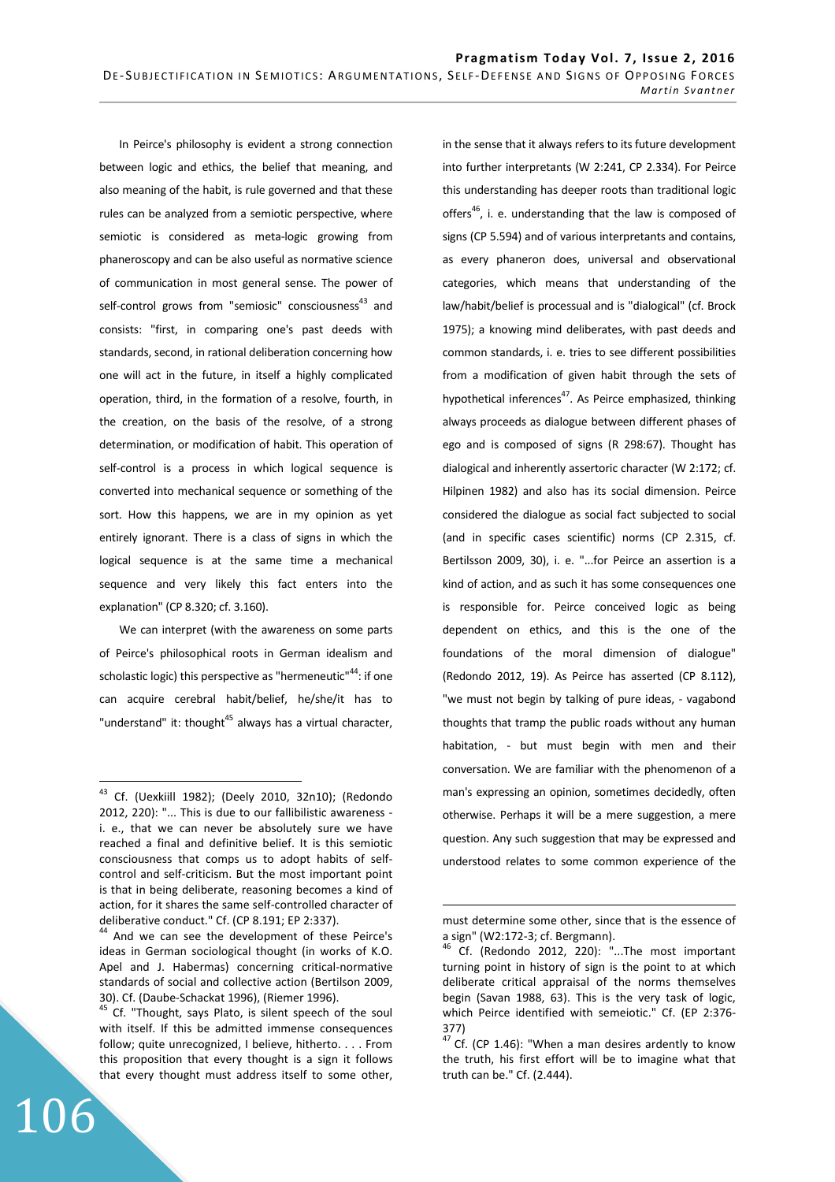In Peirce's philosophy is evident a strong connection between logic and ethics, the belief that meaning, and also meaning of the habit, is rule governed and that these rules can be analyzed from a semiotic perspective, where semiotic is considered as meta-logic growing from phaneroscopy and can be also useful as normative science of communication in most general sense. The power of self-control grows from "semiosic" consciousness<sup>43</sup> and consists: "first, in comparing one's past deeds with standards, second, in rational deliberation concerning how one will act in the future, in itself a highly complicated operation, third, in the formation of a resolve, fourth, in the creation, on the basis of the resolve, of a strong determination, or modification of habit. This operation of self-control is a process in which logical sequence is converted into mechanical sequence or something of the sort. How this happens, we are in my opinion as yet entirely ignorant. There is a class of signs in which the logical sequence is at the same time a mechanical sequence and very likely this fact enters into the explanation" (CP 8.320; cf. 3.160).

We can interpret (with the awareness on some parts of Peirce's philosophical roots in German idealism and scholastic logic) this perspective as "hermeneutic" $44$ : if one can acquire cerebral habit/belief, he/she/it has to "understand" it: thought<sup>45</sup> always has a virtual character.

106

 $\overline{a}$ 

in the sense that it always refers to its future development into further interpretants (W 2:241, CP 2.334). For Peirce this understanding has deeper roots than traditional logic offers<sup>46</sup>, i. e. understanding that the law is composed of signs (CP 5.594) and of various interpretants and contains, as every phaneron does, universal and observational categories, which means that understanding of the law/habit/belief is processual and is "dialogical" (cf. Brock 1975); a knowing mind deliberates, with past deeds and common standards, i. e. tries to see different possibilities from a modification of given habit through the sets of hypothetical inferences $47$ . As Peirce emphasized, thinking always proceeds as dialogue between different phases of ego and is composed of signs (R 298:67). Thought has dialogical and inherently assertoric character (W 2:172; cf. Hilpinen 1982) and also has its social dimension. Peirce considered the dialogue as social fact subjected to social (and in specific cases scientific) norms (CP 2.315, cf. Bertilsson 2009, 30), i. e. "...for Peirce an assertion is a kind of action, and as such it has some consequences one is responsible for. Peirce conceived logic as being dependent on ethics, and this is the one of the foundations of the moral dimension of dialogue" (Redondo 2012, 19). As Peirce has asserted (CP 8.112), "we must not begin by talking of pure ideas, - vagabond thoughts that tramp the public roads without any human habitation, - but must begin with men and their conversation. We are familiar with the phenomenon of a man's expressing an opinion, sometimes decidedly, often otherwise. Perhaps it will be a mere suggestion, a mere question. Any such suggestion that may be expressed and understood relates to some common experience of the

<sup>&</sup>lt;sup>43</sup> Cf. (Uexkiill 1982); (Deely 2010, 32n10); (Redondo 2012, 220): "... This is due to our fallibilistic awareness i. e., that we can never be absolutely sure we have reached a final and definitive belief. It is this semiotic consciousness that comps us to adopt habits of selfcontrol and self-criticism. But the most important point is that in being deliberate, reasoning becomes a kind of action, for it shares the same self-controlled character of deliberative conduct." Cf. (CP 8.191; EP 2:337).

<sup>&</sup>lt;sup>44</sup> And we can see the development of these Peirce's ideas in German sociological thought (in works of K.O. Apel and J. Habermas) concerning critical-normative standards of social and collective action (Bertilson 2009, 30). Cf. (Daube-Schackat 1996), (Riemer 1996).

Cf. "Thought, says Plato, is silent speech of the soul with itself. If this be admitted immense consequences follow; quite unrecognized, I believe, hitherto. . . . From this proposition that every thought is a sign it follows that every thought must address itself to some other,

must determine some other, since that is the essence of a sign" (W2:172-3; cf. Bergmann).

<sup>&</sup>lt;sup>46</sup> Cf. (Redondo 2012, 220): "...The most important turning point in history of sign is the point to at which deliberate critical appraisal of the norms themselves begin (Savan 1988, 63). This is the very task of logic, which Peirce identified with semeiotic." Cf. (EP 2:376- 377)

 $47$  Cf. (CP 1.46): "When a man desires ardently to know the truth, his first effort will be to imagine what that truth can be." Cf. (2.444).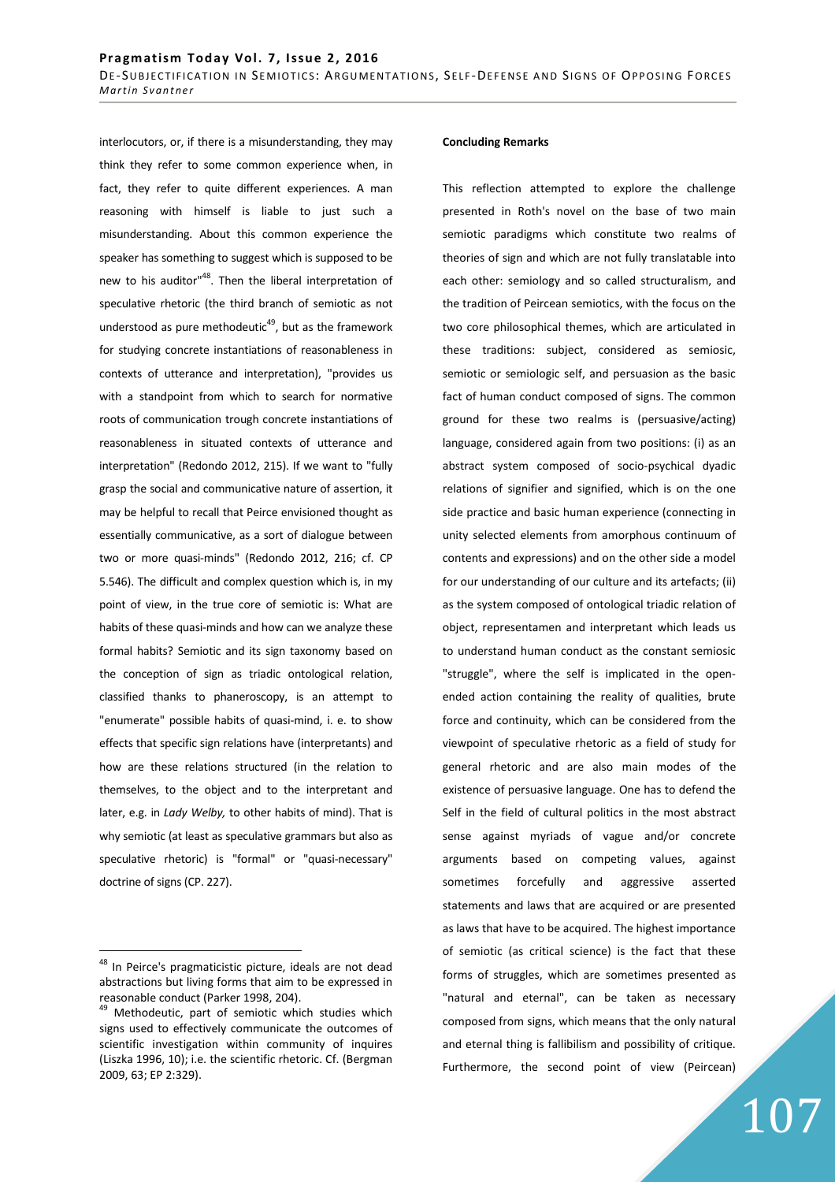interlocutors, or, if there is a misunderstanding, they may think they refer to some common experience when, in fact, they refer to quite different experiences. A man reasoning with himself is liable to just such a misunderstanding. About this common experience the speaker has something to suggest which is supposed to be new to his auditor"<sup>48</sup>. Then the liberal interpretation of speculative rhetoric (the third branch of semiotic as not understood as pure methodeutic $49$ , but as the framework for studying concrete instantiations of reasonableness in contexts of utterance and interpretation), "provides us with a standpoint from which to search for normative roots of communication trough concrete instantiations of reasonableness in situated contexts of utterance and interpretation" (Redondo 2012, 215). If we want to "fully grasp the social and communicative nature of assertion, it may be helpful to recall that Peirce envisioned thought as essentially communicative, as a sort of dialogue between two or more quasi-minds" (Redondo 2012, 216; cf. CP 5.546). The difficult and complex question which is, in my point of view, in the true core of semiotic is: What are habits of these quasi-minds and how can we analyze these formal habits? Semiotic and its sign taxonomy based on the conception of sign as triadic ontological relation, classified thanks to phaneroscopy, is an attempt to "enumerate" possible habits of quasi-mind, i. e. to show effects that specific sign relations have (interpretants) and how are these relations structured (in the relation to themselves, to the object and to the interpretant and later, e.g. in *Lady Welby,* to other habits of mind). That is why semiotic (at least as speculative grammars but also as speculative rhetoric) is "formal" or "quasi-necessary" doctrine of signs (CP. 227).

 $\overline{a}$ 

#### **Concluding Remarks**

This reflection attempted to explore the challenge presented in Roth's novel on the base of two main semiotic paradigms which constitute two realms of theories of sign and which are not fully translatable into each other: semiology and so called structuralism, and the tradition of Peircean semiotics, with the focus on the two core philosophical themes, which are articulated in these traditions: subject, considered as semiosic, semiotic or semiologic self, and persuasion as the basic fact of human conduct composed of signs. The common ground for these two realms is (persuasive/acting) language, considered again from two positions: (i) as an abstract system composed of socio-psychical dyadic relations of signifier and signified, which is on the one side practice and basic human experience (connecting in unity selected elements from amorphous continuum of contents and expressions) and on the other side a model for our understanding of our culture and its artefacts; (ii) as the system composed of ontological triadic relation of object, representamen and interpretant which leads us to understand human conduct as the constant semiosic "struggle", where the self is implicated in the openended action containing the reality of qualities, brute force and continuity, which can be considered from the viewpoint of speculative rhetoric as a field of study for general rhetoric and are also main modes of the existence of persuasive language. One has to defend the Self in the field of cultural politics in the most abstract sense against myriads of vague and/or concrete arguments based on competing values, against sometimes forcefully and aggressive asserted statements and laws that are acquired or are presented as laws that have to be acquired. The highest importance of semiotic (as critical science) is the fact that these forms of struggles, which are sometimes presented as "natural and eternal", can be taken as necessary composed from signs, which means that the only natural and eternal thing is fallibilism and possibility of critique. Furthermore, the second point of view (Peircean)

<sup>&</sup>lt;sup>48</sup> In Peirce's pragmaticistic picture, ideals are not dead abstractions but living forms that aim to be expressed in reasonable conduct (Parker 1998, 204).

Methodeutic, part of semiotic which studies which signs used to effectively communicate the outcomes of scientific investigation within community of inquires (Liszka 1996, 10); i.e. the scientific rhetoric. Cf. (Bergman 2009, 63; EP 2:329).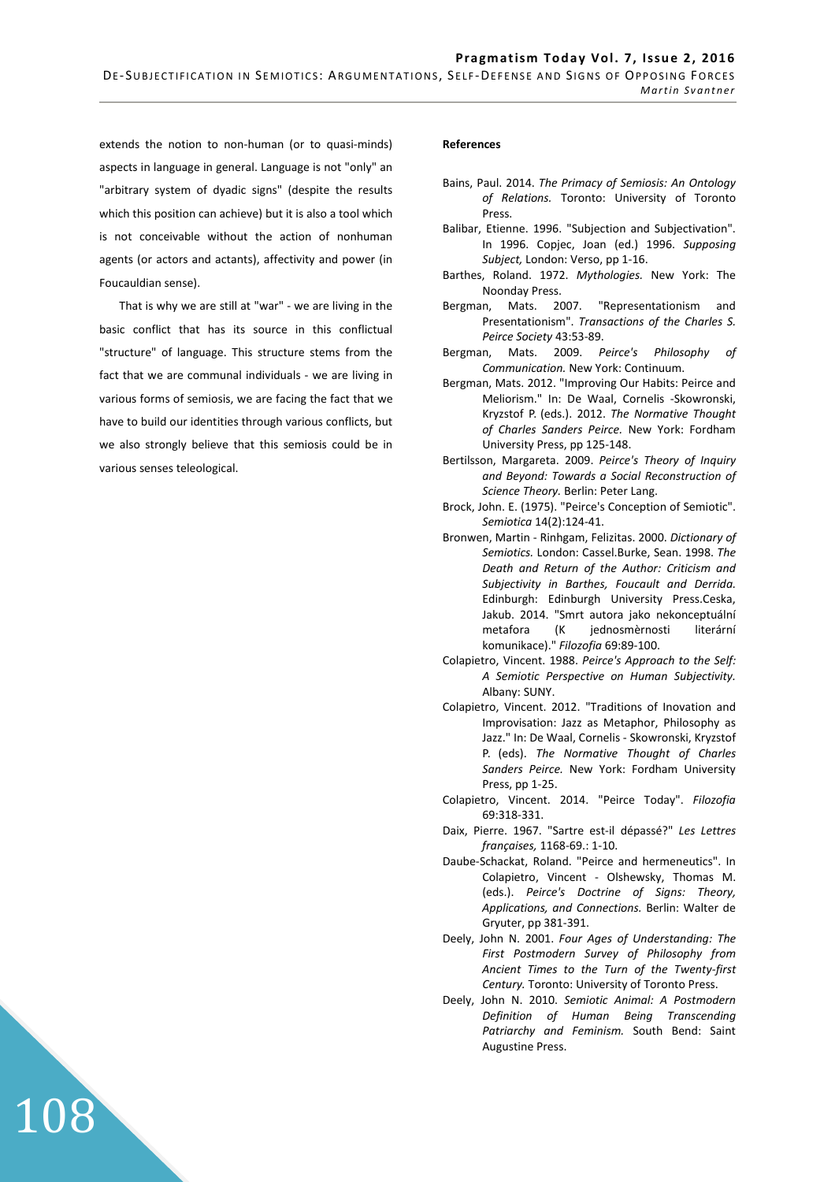DE-SUBJECTIFICATION IN SEMIOTICS: ARGUMENTATIONS, SELF-DEFENSE AND SIGNS OF OPPOSING FORCES *Martin Svantner* 

extends the notion to non-human (or to quasi-minds) aspects in language in general. Language is not "only" an "arbitrary system of dyadic signs" (despite the results which this position can achieve) but it is also a tool which is not conceivable without the action of nonhuman agents (or actors and actants), affectivity and power (in Foucauldian sense).

That is why we are still at "war" - we are living in the basic conflict that has its source in this conflictual "structure" of language. This structure stems from the fact that we are communal individuals - we are living in various forms of semiosis, we are facing the fact that we have to build our identities through various conflicts, but we also strongly believe that this semiosis could be in various senses teleological.

108

#### **References**

- Bains, Paul. 2014. *The Primacy of Semiosis: An Ontology of Relations.* Toronto: University of Toronto Press.
- Balibar, Etienne. 1996. "Subjection and Subjectivation". In 1996. Copjec, Joan (ed.) 1996. *Supposing Subject,* London: Verso, pp 1-16.
- Barthes, Roland. 1972. *Mythologies.* New York: The Noonday Press.
- Bergman, Mats. 2007. "Representationism and Presentationism". *Transactions of the Charles S. Peirce Society* 43:53-89.
- Bergman, Mats. 2009. *Peirce's Philosophy of Communication.* New York: Continuum.
- Bergman, Mats. 2012. "Improving Our Habits: Peirce and Meliorism." In: De Waal, Cornelis -Skowronski, Kryzstof P. (eds.). 2012. *The Normative Thought of Charles Sanders Peirce.* New York: Fordham University Press, pp 125-148.
- Bertilsson, Margareta. 2009. *Peirce's Theory of Inquiry and Beyond: Towards a Social Reconstruction of Science Theory.* Berlin: Peter Lang.
- Brock, John. E. (1975). "Peirce's Conception of Semiotic". *Semiotica* 14(2):124-41.
- Bronwen, Martin Rinhgam, Felizitas. 2000. *Dictionary of Semiotics.* London: Cassel.Burke, Sean. 1998. *The Death and Return of the Author: Criticism and Subjectivity in Barthes, Foucault and Derrida.*  Edinburgh: Edinburgh University Press.Ceska, Jakub. 2014. "Smrt autora jako nekonceptuální metafora (K jednosmèrnosti literární komunikace)." *Filozofia* 69:89-100.
- Colapietro, Vincent. 1988. *Peirce's Approach to the Self: A Semiotic Perspective on Human Subjectivity.*  Albany: SUNY.
- Colapietro, Vincent. 2012. "Traditions of Inovation and Improvisation: Jazz as Metaphor, Philosophy as Jazz." In: De Waal, Cornelis - Skowronski, Kryzstof P. (eds). *The Normative Thought of Charles Sanders Peirce.* New York: Fordham University Press, pp 1-25.
- Colapietro, Vincent. 2014. "Peirce Today". *Filozofia*  69:318-331.
- Daix, Pierre. 1967. "Sartre est-il dépassé?" *Les Lettres françaises,* 1168-69.: 1-10.
- Daube-Schackat, Roland. "Peirce and hermeneutics". In Colapietro, Vincent - Olshewsky, Thomas M. (eds.). *Peirce's Doctrine of Signs: Theory, Applications, and Connections.* Berlin: Walter de Gryuter, pp 381-391.
- Deely, John N. 2001. *Four Ages of Understanding: The First Postmodern Survey of Philosophy from Ancient Times to the Turn of the Twenty-first Century.* Toronto: University of Toronto Press.
- Deely, John N. 2010. *Semiotic Animal: A Postmodern Definition of Human Being Transcending Patriarchy and Feminism.* South Bend: Saint Augustine Press.